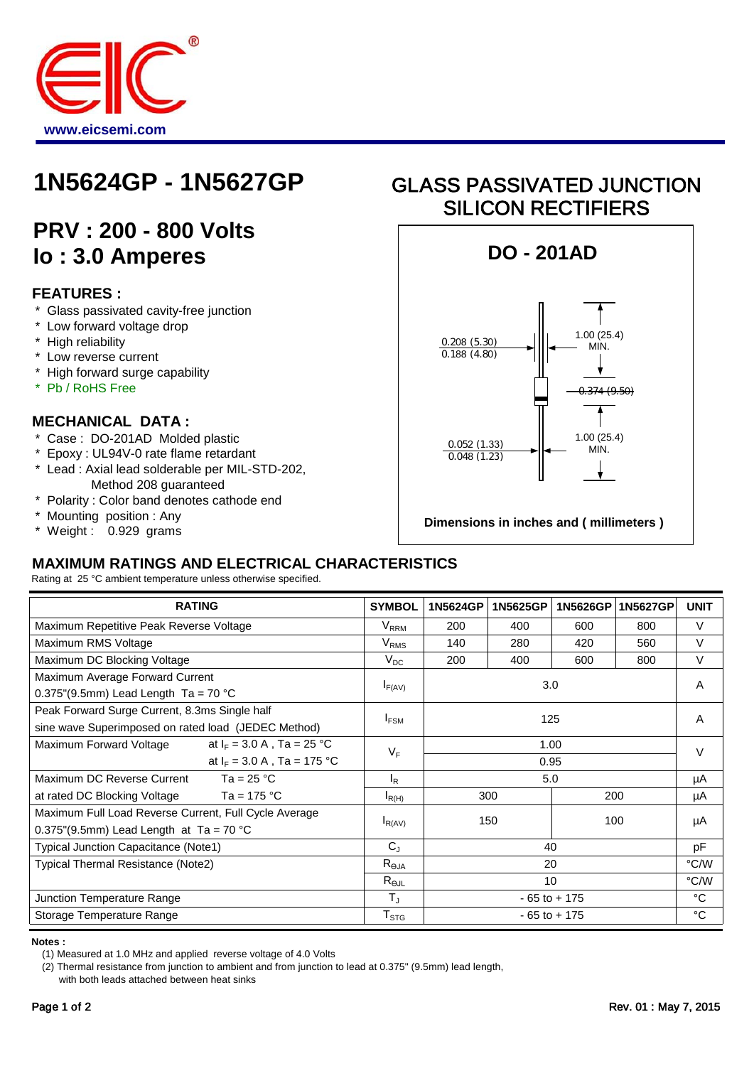

# **PRV : 200 - 800 Volts Io : 3.0 Amperes**

#### **FEATURES :**

- \* Glass passivated cavity-free junction
- \* Low forward voltage drop
- \* High reliability
- \* Low reverse current
- \* High forward surge capability
- \* Pb / RoHS Free

### **MECHANICAL DATA :**

- \* Case : DO-201AD Molded plastic
- \* Epoxy : UL94V-0 rate flame retardant
- \* Lead : Axial lead solderable per MIL-STD-202, Method 208 guaranteed
- \* Polarity : Color band denotes cathode end
- \* Mounting position : Any
- \* Weight : 0.929 grams

## **1N5624GP - 1N5627GP** GLASS PASSIVATED JUNCTION SILICON RECTIFIERS



## **MAXIMUM RATINGS AND ELECTRICAL CHARACTERISTICS**

Rating at 25 °C ambient temperature unless otherwise specified.

| <b>RATING</b>                                            | <b>SYMBOL</b>                    | 1N5624GP        | 1N5625GP | 1N5626GP | 1N5627GP    | <b>UNIT</b> |
|----------------------------------------------------------|----------------------------------|-----------------|----------|----------|-------------|-------------|
| Maximum Repetitive Peak Reverse Voltage                  | $\rm V_{RRM}$                    | 200             | 400      | 600      | 800         | $\vee$      |
| Maximum RMS Voltage                                      | $V_{RMS}$                        | 140             | 280      | 420      | 560         | V           |
| Maximum DC Blocking Voltage                              | $V_{DC}$                         | 200             | 400      | 600      | 800         | V           |
| Maximum Average Forward Current                          |                                  | 3.0             |          |          | A           |             |
| 0.375"(9.5mm) Lead Length $Ta = 70 °C$                   | $I_{F(AV)}$                      |                 |          |          |             |             |
| Peak Forward Surge Current, 8.3ms Single half            |                                  | 125             |          |          |             | A           |
| sine wave Superimposed on rated load (JEDEC Method)      | $I_{FSM}$                        |                 |          |          |             |             |
| at $I_F = 3.0 A$ , Ta = 25 °C<br>Maximum Forward Voltage | $V_F$                            | 1.00<br>0.95    |          |          | $\vee$      |             |
| at $I_F = 3.0 A$ , Ta = 175 °C                           |                                  |                 |          |          |             |             |
| Maximum DC Reverse Current<br>Ta = 25 °C                 | l <sub>R</sub>                   | 5.0             |          |          |             | μA          |
| Ta = 175 °C<br>at rated DC Blocking Voltage              | $I_{R(H)}$                       | 300<br>200      |          |          | μA          |             |
| Maximum Full Load Reverse Current, Full Cycle Average    |                                  | 150             |          | 100      |             | μA          |
| 0.375"(9.5mm) Lead Length at $Ta = 70 °C$                | $I_{R(AV)}$                      |                 |          |          |             |             |
| <b>Typical Junction Capacitance (Note1)</b>              | $C_{J}$                          | 40              |          |          | рF          |             |
| Typical Thermal Resistance (Note2)                       | $R_{\Theta JA}$                  | 20              |          |          | °C/W        |             |
|                                                          | $\mathsf{R}_{\Theta\mathsf{JL}}$ | 10              |          |          | °C/W        |             |
| Junction Temperature Range                               | $T_{\rm J}$                      | $-65$ to $+175$ |          |          | $^{\circ}C$ |             |
| Storage Temperature Range                                | $\mathsf{T}_{\texttt{STG}}$      | $-65$ to $+175$ |          |          |             | °C          |

**Notes :** 

with both leads attached between heat sinks

<sup>(1)</sup> Measured at 1.0 MHz and applied reverse voltage of 4.0 Volts

<sup>(2)</sup> Thermal resistance from junction to ambient and from junction to lead at 0.375" (9.5mm) lead length,